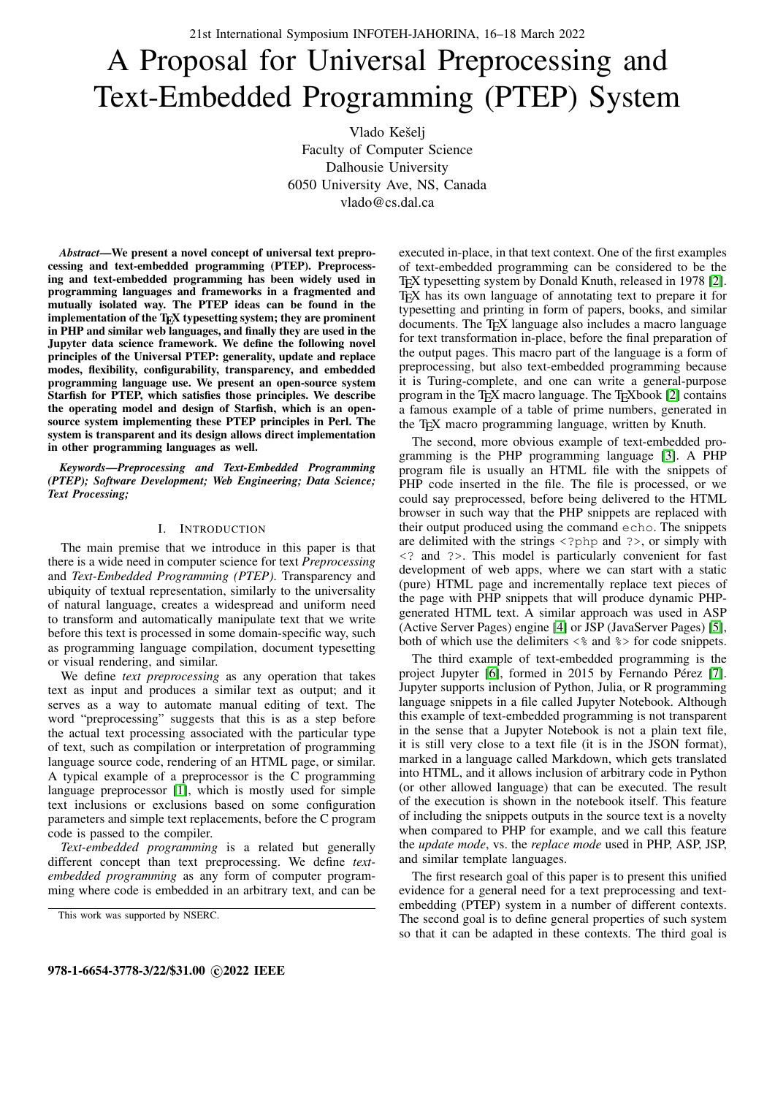# A Proposal for Universal Preprocessing and Text-Embedded Programming (PTEP) System

Vlado Kešelj Faculty of Computer Science Dalhousie University 6050 University Ave, NS, Canada vlado@cs.dal.ca

*Abstract*—We present a novel concept of universal text preprocessing and text-embedded programming (PTEP). Preprocessing and text-embedded programming has been widely used in programming languages and frameworks in a fragmented and mutually isolated way. The PTEP ideas can be found in the implementation of the TEX typesetting system; they are prominent in PHP and similar web languages, and finally they are used in the Jupyter data science framework. We define the following novel principles of the Universal PTEP: generality, update and replace modes, flexibility, configurability, transparency, and embedded programming language use. We present an open-source system Starfish for PTEP, which satisfies those principles. We describe the operating model and design of Starfish, which is an opensource system implementing these PTEP principles in Perl. The system is transparent and its design allows direct implementation in other programming languages as well.

*Keywords*—*Preprocessing and Text-Embedded Programming (PTEP); Software Development; Web Engineering; Data Science; Text Processing;*

#### I. INTRODUCTION

The main premise that we introduce in this paper is that there is a wide need in computer science for text *Preprocessing* and *Text-Embedded Programming (PTEP)*. Transparency and ubiquity of textual representation, similarly to the universality of natural language, creates a widespread and uniform need to transform and automatically manipulate text that we write before this text is processed in some domain-specific way, such as programming language compilation, document typesetting or visual rendering, and similar.

We define *text preprocessing* as any operation that takes text as input and produces a similar text as output; and it serves as a way to automate manual editing of text. The word "preprocessing" suggests that this is as a step before the actual text processing associated with the particular type of text, such as compilation or interpretation of programming language source code, rendering of an HTML page, or similar. A typical example of a preprocessor is the C programming language preprocessor [\[1\]](#page-7-0), which is mostly used for simple text inclusions or exclusions based on some configuration parameters and simple text replacements, before the C program code is passed to the compiler.

*Text-embedded programming* is a related but generally different concept than text preprocessing. We define *textembedded programming* as any form of computer programming where code is embedded in an arbitrary text, and can be executed in-place, in that text context. One of the first examples of text-embedded programming can be considered to be the TEX typesetting system by Donald Knuth, released in 1978 [\[2\]](#page-7-1). TEX has its own language of annotating text to prepare it for typesetting and printing in form of papers, books, and similar documents. The T<sub>E</sub>X language also includes a macro language for text transformation in-place, before the final preparation of the output pages. This macro part of the language is a form of preprocessing, but also text-embedded programming because it is Turing-complete, and one can write a general-purpose program in the T<sub>E</sub>X macro language. The T<sub>E</sub>Xbook [\[2\]](#page-7-1) contains a famous example of a table of prime numbers, generated in the TEX macro programming language, written by Knuth.

The second, more obvious example of text-embedded programming is the PHP programming language [\[3\]](#page-7-2). A PHP program file is usually an HTML file with the snippets of PHP code inserted in the file. The file is processed, or we could say preprocessed, before being delivered to the HTML browser in such way that the PHP snippets are replaced with their output produced using the command echo. The snippets are delimited with the strings <?php and ?>, or simply with <? and ?>. This model is particularly convenient for fast development of web apps, where we can start with a static (pure) HTML page and incrementally replace text pieces of the page with PHP snippets that will produce dynamic PHPgenerated HTML text. A similar approach was used in ASP (Active Server Pages) engine [\[4\]](#page-7-3) or JSP (JavaServer Pages) [\[5\]](#page-7-4), both of which use the delimiters  $\leq$  and  $\geq$  for code snippets.

The third example of text-embedded programming is the project Jupyter [\[6\]](#page-7-5), formed in 2015 by Fernando Pérez [\[7\]](#page-7-6). Jupyter supports inclusion of Python, Julia, or R programming language snippets in a file called Jupyter Notebook. Although this example of text-embedded programming is not transparent in the sense that a Jupyter Notebook is not a plain text file, it is still very close to a text file (it is in the JSON format), marked in a language called Markdown, which gets translated into HTML, and it allows inclusion of arbitrary code in Python (or other allowed language) that can be executed. The result of the execution is shown in the notebook itself. This feature of including the snippets outputs in the source text is a novelty when compared to PHP for example, and we call this feature the *update mode*, vs. the *replace mode* used in PHP, ASP, JSP, and similar template languages.

The first research goal of this paper is to present this unified evidence for a general need for a text preprocessing and textembedding (PTEP) system in a number of different contexts. The second goal is to define general properties of such system so that it can be adapted in these contexts. The third goal is

This work was supported by NSERC.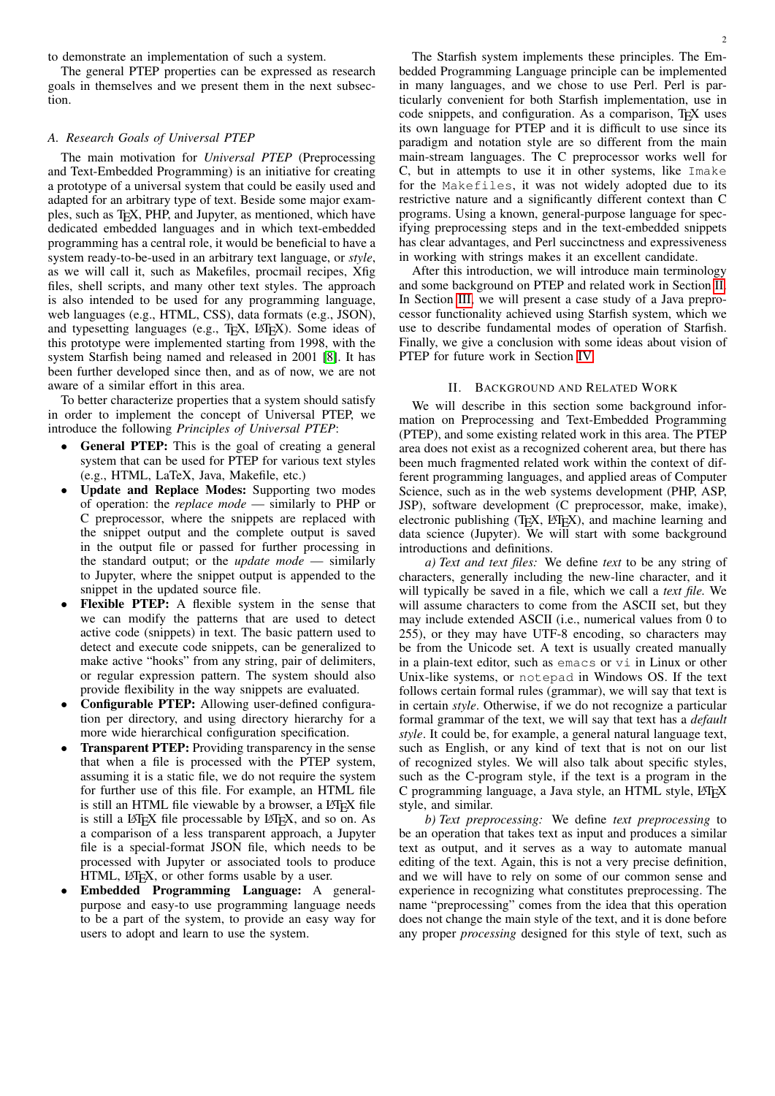to demonstrate an implementation of such a system.

The general PTEP properties can be expressed as research goals in themselves and we present them in the next subsection.

# *A. Research Goals of Universal PTEP*

The main motivation for *Universal PTEP* (Preprocessing and Text-Embedded Programming) is an initiative for creating a prototype of a universal system that could be easily used and adapted for an arbitrary type of text. Beside some major examples, such as TEX, PHP, and Jupyter, as mentioned, which have dedicated embedded languages and in which text-embedded programming has a central role, it would be beneficial to have a system ready-to-be-used in an arbitrary text language, or *style*, as we will call it, such as Makefiles, procmail recipes, Xfig files, shell scripts, and many other text styles. The approach is also intended to be used for any programming language, web languages (e.g., HTML, CSS), data formats (e.g., JSON), and typesetting languages (e.g., TEX, LATEX). Some ideas of this prototype were implemented starting from 1998, with the system Starfish being named and released in 2001 [\[8\]](#page-7-7). It has been further developed since then, and as of now, we are not aware of a similar effort in this area.

To better characterize properties that a system should satisfy in order to implement the concept of Universal PTEP, we introduce the following *Principles of Universal PTEP*:

- General PTEP: This is the goal of creating a general system that can be used for PTEP for various text styles (e.g., HTML, LaTeX, Java, Makefile, etc.)
- Update and Replace Modes: Supporting two modes of operation: the *replace mode* — similarly to PHP or C preprocessor, where the snippets are replaced with the snippet output and the complete output is saved in the output file or passed for further processing in the standard output; or the *update mode* — similarly to Jupyter, where the snippet output is appended to the snippet in the updated source file.
- Flexible PTEP: A flexible system in the sense that we can modify the patterns that are used to detect active code (snippets) in text. The basic pattern used to detect and execute code snippets, can be generalized to make active "hooks" from any string, pair of delimiters, or regular expression pattern. The system should also provide flexibility in the way snippets are evaluated.
- Configurable PTEP: Allowing user-defined configuration per directory, and using directory hierarchy for a more wide hierarchical configuration specification.
- **Transparent PTEP:** Providing transparency in the sense that when a file is processed with the PTEP system, assuming it is a static file, we do not require the system for further use of this file. For example, an HTML file is still an HTML file viewable by a browser, a L<sup>AT</sup>EX file is still a LAT<sub>E</sub>X file processable by LAT<sub>E</sub>X, and so on. As a comparison of a less transparent approach, a Jupyter file is a special-format JSON file, which needs to be processed with Jupyter or associated tools to produce HTML, LATEX, or other forms usable by a user.
- Embedded Programming Language: A generalpurpose and easy-to use programming language needs to be a part of the system, to provide an easy way for users to adopt and learn to use the system.

The Starfish system implements these principles. The Embedded Programming Language principle can be implemented in many languages, and we chose to use Perl. Perl is particularly convenient for both Starfish implementation, use in code snippets, and configuration. As a comparison, TEX uses its own language for PTEP and it is difficult to use since its paradigm and notation style are so different from the main main-stream languages. The C preprocessor works well for C, but in attempts to use it in other systems, like Imake for the Makefiles, it was not widely adopted due to its restrictive nature and a significantly different context than C programs. Using a known, general-purpose language for specifying preprocessing steps and in the text-embedded snippets has clear advantages, and Perl succinctness and expressiveness in working with strings makes it an excellent candidate.

After this introduction, we will introduce main terminology and some background on PTEP and related work in Section [II.](#page-1-0) In Section [III,](#page-4-0) we will present a case study of a Java preprocessor functionality achieved using Starfish system, which we use to describe fundamental modes of operation of Starfish. Finally, we give a conclusion with some ideas about vision of PTEP for future work in Section [IV.](#page-7-8)

### II. BACKGROUND AND RELATED WORK

<span id="page-1-0"></span>We will describe in this section some background information on Preprocessing and Text-Embedded Programming (PTEP), and some existing related work in this area. The PTEP area does not exist as a recognized coherent area, but there has been much fragmented related work within the context of different programming languages, and applied areas of Computer Science, such as in the web systems development (PHP, ASP, JSP), software development (C preprocessor, make, imake), electronic publishing  $(TEX, IATEX)$ , and machine learning and data science (Jupyter). We will start with some background introductions and definitions.

*a) Text and text files:* We define *text* to be any string of characters, generally including the new-line character, and it will typically be saved in a file, which we call a *text file.* We will assume characters to come from the ASCII set, but they may include extended ASCII (i.e., numerical values from 0 to 255), or they may have UTF-8 encoding, so characters may be from the Unicode set. A text is usually created manually in a plain-text editor, such as emacs or vi in Linux or other Unix-like systems, or notepad in Windows OS. If the text follows certain formal rules (grammar), we will say that text is in certain *style*. Otherwise, if we do not recognize a particular formal grammar of the text, we will say that text has a *default style*. It could be, for example, a general natural language text, such as English, or any kind of text that is not on our list of recognized styles. We will also talk about specific styles, such as the C-program style, if the text is a program in the C programming language, a Java style, an HTML style, LATEX style, and similar.

*b) Text preprocessing:* We define *text preprocessing* to be an operation that takes text as input and produces a similar text as output, and it serves as a way to automate manual editing of the text. Again, this is not a very precise definition, and we will have to rely on some of our common sense and experience in recognizing what constitutes preprocessing. The name "preprocessing" comes from the idea that this operation does not change the main style of the text, and it is done before any proper *processing* designed for this style of text, such as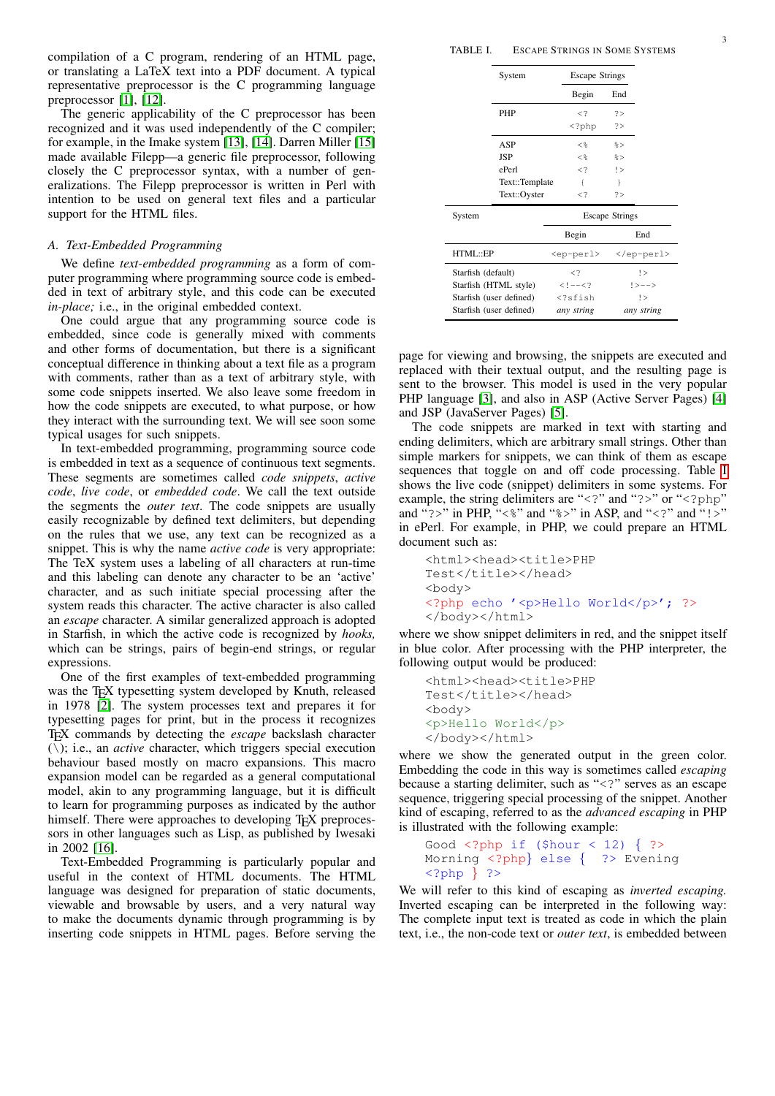compilation of a C program, rendering of an HTML page, or translating a LaTeX text into a PDF document. A typical representative preprocessor is the C programming language preprocessor [\[1\]](#page-7-0), [\[12\]](#page-7-9).

The generic applicability of the C preprocessor has been recognized and it was used independently of the C compiler; for example, in the Imake system [\[13\]](#page-7-10), [\[14\]](#page-7-11). Darren Miller [\[15\]](#page-7-12) made available Filepp—a generic file preprocessor, following closely the C preprocessor syntax, with a number of generalizations. The Filepp preprocessor is written in Perl with intention to be used on general text files and a particular support for the HTML files.

# *A. Text-Embedded Programming*

We define *text-embedded programming* as a form of computer programming where programming source code is embedded in text of arbitrary style, and this code can be executed *in-place;* i.e., in the original embedded context.

One could argue that any programming source code is embedded, since code is generally mixed with comments and other forms of documentation, but there is a significant conceptual difference in thinking about a text file as a program with comments, rather than as a text of arbitrary style, with some code snippets inserted. We also leave some freedom in how the code snippets are executed, to what purpose, or how they interact with the surrounding text. We will see soon some typical usages for such snippets.

In text-embedded programming, programming source code is embedded in text as a sequence of continuous text segments. These segments are sometimes called *code snippets*, *active code*, *live code*, or *embedded code*. We call the text outside the segments the *outer text*. The code snippets are usually easily recognizable by defined text delimiters, but depending on the rules that we use, any text can be recognized as a snippet. This is why the name *active code* is very appropriate: The TeX system uses a labeling of all characters at run-time and this labeling can denote any character to be an 'active' character, and as such initiate special processing after the system reads this character. The active character is also called an *escape* character. A similar generalized approach is adopted in Starfish, in which the active code is recognized by *hooks,* which can be strings, pairs of begin-end strings, or regular expressions.

One of the first examples of text-embedded programming was the T<sub>E</sub>X typesetting system developed by Knuth, released in 1978 [\[2\]](#page-7-1). The system processes text and prepares it for typesetting pages for print, but in the process it recognizes TEX commands by detecting the *escape* backslash character (\); i.e., an *active* character, which triggers special execution behaviour based mostly on macro expansions. This macro expansion model can be regarded as a general computational model, akin to any programming language, but it is difficult to learn for programming purposes as indicated by the author himself. There were approaches to developing T<sub>E</sub>X preprocessors in other languages such as Lisp, as published by Iwesaki in 2002 [\[16\]](#page-7-13).

Text-Embedded Programming is particularly popular and useful in the context of HTML documents. The HTML language was designed for preparation of static documents, viewable and browsable by users, and a very natural way to make the documents dynamic through programming is by inserting code snippets in HTML pages. Before serving the

<span id="page-2-0"></span>

|                         | System         | <b>Escape Strings</b>            |                     |  |
|-------------------------|----------------|----------------------------------|---------------------|--|
|                         |                | Begin                            | End                 |  |
|                         | PHP            | $\lt?$                           | ?                   |  |
|                         |                | $\langle$ ?php                   | ?>                  |  |
|                         | ASP            | $<$ $\approx$                    | k >                 |  |
|                         | JSP            | $\leq$                           | $\approx$           |  |
|                         | ePerl          | $\lt?$                           | !                   |  |
|                         | Text::Template | ł                                | ł                   |  |
|                         | Text::Oyster   | $\lt?$                           | 2 >                 |  |
| System                  |                | <b>Escape Strings</b>            |                     |  |
|                         |                | Begin                            | End                 |  |
| HTML::EP                |                | <ep-perl></ep-perl>              | $\langle$ /ep-perl> |  |
| Starfish (default)      |                | $\leq$ ?                         | !                   |  |
| Starfish (HTML style)   |                | $$                               | $ --->$             |  |
| Starfish (user defined) |                | sfish</th <th colspan="2">!</th> | !                   |  |
| Starfish (user defined) |                | any string                       | any string          |  |

page for viewing and browsing, the snippets are executed and replaced with their textual output, and the resulting page is sent to the browser. This model is used in the very popular PHP language [\[3\]](#page-7-2), and also in ASP (Active Server Pages) [\[4\]](#page-7-3) and JSP (JavaServer Pages) [\[5\]](#page-7-4).

The code snippets are marked in text with starting and ending delimiters, which are arbitrary small strings. Other than simple markers for snippets, we can think of them as escape sequences that toggle on and off code processing. Table [I](#page-2-0) shows the live code (snippet) delimiters in some systems. For example, the string delimiters are "<?" and "?>" or "<?php" and "?>" in PHP, "<%" and "%>" in ASP, and "<?" and "!>" in ePerl. For example, in PHP, we could prepare an HTML document such as:

```
<html><head><title>PHP
Test</title></head>
<body>
<?php echo '<p>Hello World</p>'; ?>
</body></html>
```
where we show snippet delimiters in red, and the snippet itself in blue color. After processing with the PHP interpreter, the following output would be produced:

```
<html><head><title>PHP
Test</title></head>
<body>
<p>Hello World</p>
</body></html>
```
where we show the generated output in the green color. Embedding the code in this way is sometimes called *escaping* because a starting delimiter, such as "<?" serves as an escape sequence, triggering special processing of the snippet. Another kind of escaping, referred to as the *advanced escaping* in PHP is illustrated with the following example:

```
Good \langle 2php \text{ if } (\text{shour} < 12) \{ ? \rangleMorning <?php} else { ?> Evening
<?php } ?>
```
We will refer to this kind of escaping as *inverted escaping.* Inverted escaping can be interpreted in the following way: The complete input text is treated as code in which the plain text, i.e., the non-code text or *outer text*, is embedded between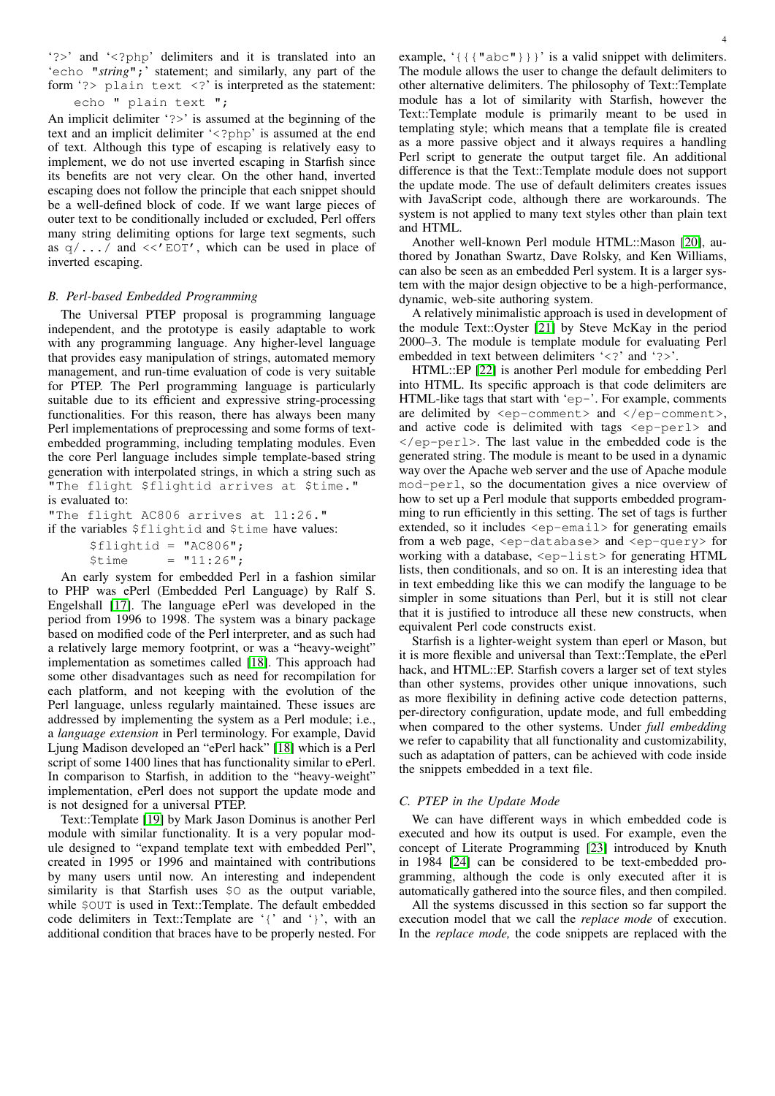'?>' and '<?php' delimiters and it is translated into an 'echo "*string*";' statement; and similarly, any part of the form '?> plain text <?' is interpreted as the statement:

echo " plain text ";

An implicit delimiter '?>' is assumed at the beginning of the text and an implicit delimiter '<?php' is assumed at the end of text. Although this type of escaping is relatively easy to implement, we do not use inverted escaping in Starfish since its benefits are not very clear. On the other hand, inverted escaping does not follow the principle that each snippet should be a well-defined block of code. If we want large pieces of outer text to be conditionally included or excluded, Perl offers many string delimiting options for large text segments, such as  $q/\ldots$  and << EOT', which can be used in place of inverted escaping.

# *B. Perl-based Embedded Programming*

The Universal PTEP proposal is programming language independent, and the prototype is easily adaptable to work with any programming language. Any higher-level language that provides easy manipulation of strings, automated memory management, and run-time evaluation of code is very suitable for PTEP. The Perl programming language is particularly suitable due to its efficient and expressive string-processing functionalities. For this reason, there has always been many Perl implementations of preprocessing and some forms of textembedded programming, including templating modules. Even the core Perl language includes simple template-based string generation with interpolated strings, in which a string such as "The flight \$flightid arrives at \$time." is evaluated to:

"The flight AC806 arrives at 11:26."

if the variables \$flightid and \$time have values:

| $$filightid = "AC806";$ |              |
|-------------------------|--------------|
| <i><b>\$time</b></i>    | $= "11:26";$ |

An early system for embedded Perl in a fashion similar to PHP was ePerl (Embedded Perl Language) by Ralf S. Engelshall [\[17\]](#page-7-14). The language ePerl was developed in the period from 1996 to 1998. The system was a binary package based on modified code of the Perl interpreter, and as such had a relatively large memory footprint, or was a "heavy-weight" implementation as sometimes called [\[18\]](#page-7-15). This approach had some other disadvantages such as need for recompilation for each platform, and not keeping with the evolution of the Perl language, unless regularly maintained. These issues are addressed by implementing the system as a Perl module; i.e., a *language extension* in Perl terminology. For example, David Ljung Madison developed an "ePerl hack" [\[18\]](#page-7-15) which is a Perl script of some 1400 lines that has functionality similar to ePerl. In comparison to Starfish, in addition to the "heavy-weight" implementation, ePerl does not support the update mode and is not designed for a universal PTEP.

Text::Template [\[19\]](#page-7-16) by Mark Jason Dominus is another Perl module with similar functionality. It is a very popular module designed to "expand template text with embedded Perl", created in 1995 or 1996 and maintained with contributions by many users until now. An interesting and independent similarity is that Starfish uses  $\Diamond$  as the output variable, while  $\text{SOUT}$  is used in Text::Template. The default embedded code delimiters in Text::Template are '{' and '}', with an additional condition that braces have to be properly nested. For

example, '{{{"abc"}}}' is a valid snippet with delimiters. The module allows the user to change the default delimiters to other alternative delimiters. The philosophy of Text::Template module has a lot of similarity with Starfish, however the Text::Template module is primarily meant to be used in templating style; which means that a template file is created as a more passive object and it always requires a handling Perl script to generate the output target file. An additional difference is that the Text::Template module does not support the update mode. The use of default delimiters creates issues with JavaScript code, although there are workarounds. The system is not applied to many text styles other than plain text and HTML.

Another well-known Perl module HTML::Mason [\[20\]](#page-7-17), authored by Jonathan Swartz, Dave Rolsky, and Ken Williams, can also be seen as an embedded Perl system. It is a larger system with the major design objective to be a high-performance, dynamic, web-site authoring system.

A relatively minimalistic approach is used in development of the module Text::Oyster [\[21\]](#page-7-18) by Steve McKay in the period 2000–3. The module is template module for evaluating Perl embedded in text between delimiters '<?' and '?>'.

HTML::EP [\[22\]](#page-7-19) is another Perl module for embedding Perl into HTML. Its specific approach is that code delimiters are HTML-like tags that start with 'ep-'. For example, comments are delimited by  $\langle ep-comment \rangle$  and  $\langle /ep-comment \rangle$ , and active code is delimited with tags <ep-perl> and  $\langle$ /ep-perl>. The last value in the embedded code is the generated string. The module is meant to be used in a dynamic way over the Apache web server and the use of Apache module mod-perl, so the documentation gives a nice overview of how to set up a Perl module that supports embedded programming to run efficiently in this setting. The set of tags is further extended, so it includes <ep-email> for generating emails from a web page, <ep-database> and <ep-query> for working with a database, <ep-list> for generating HTML lists, then conditionals, and so on. It is an interesting idea that in text embedding like this we can modify the language to be simpler in some situations than Perl, but it is still not clear that it is justified to introduce all these new constructs, when equivalent Perl code constructs exist.

Starfish is a lighter-weight system than eperl or Mason, but it is more flexible and universal than Text::Template, the ePerl hack, and HTML::EP. Starfish covers a larger set of text styles than other systems, provides other unique innovations, such as more flexibility in defining active code detection patterns, per-directory configuration, update mode, and full embedding when compared to the other systems. Under *full embedding* we refer to capability that all functionality and customizability, such as adaptation of patters, can be achieved with code inside the snippets embedded in a text file.

# *C. PTEP in the Update Mode*

We can have different ways in which embedded code is executed and how its output is used. For example, even the concept of Literate Programming [\[23\]](#page-7-20) introduced by Knuth in 1984 [\[24\]](#page-7-21) can be considered to be text-embedded programming, although the code is only executed after it is automatically gathered into the source files, and then compiled.

All the systems discussed in this section so far support the execution model that we call the *replace mode* of execution. In the *replace mode,* the code snippets are replaced with the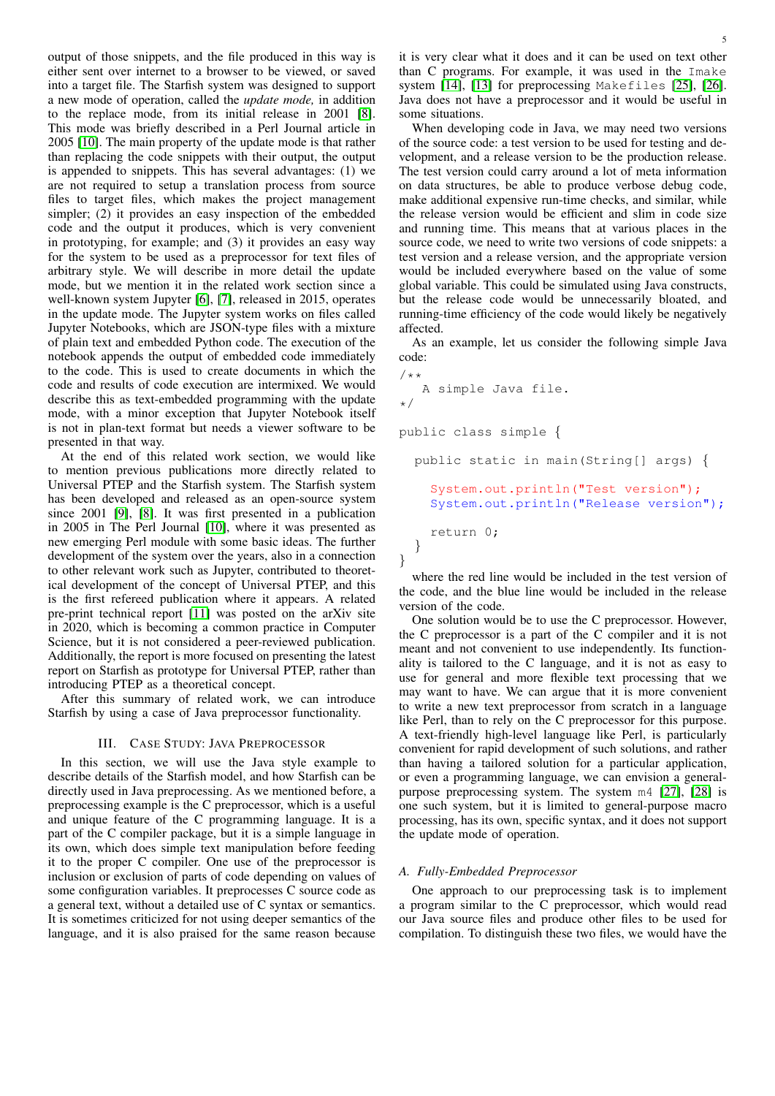output of those snippets, and the file produced in this way is either sent over internet to a browser to be viewed, or saved into a target file. The Starfish system was designed to support a new mode of operation, called the *update mode,* in addition to the replace mode, from its initial release in 2001 [\[8\]](#page-7-7). This mode was briefly described in a Perl Journal article in 2005 [\[10\]](#page-7-22). The main property of the update mode is that rather than replacing the code snippets with their output, the output is appended to snippets. This has several advantages: (1) we are not required to setup a translation process from source files to target files, which makes the project management simpler; (2) it provides an easy inspection of the embedded code and the output it produces, which is very convenient in prototyping, for example; and (3) it provides an easy way for the system to be used as a preprocessor for text files of arbitrary style. We will describe in more detail the update mode, but we mention it in the related work section since a well-known system Jupyter [\[6\]](#page-7-5), [\[7\]](#page-7-6), released in 2015, operates in the update mode. The Jupyter system works on files called Jupyter Notebooks, which are JSON-type files with a mixture of plain text and embedded Python code. The execution of the notebook appends the output of embedded code immediately to the code. This is used to create documents in which the code and results of code execution are intermixed. We would describe this as text-embedded programming with the update mode, with a minor exception that Jupyter Notebook itself is not in plan-text format but needs a viewer software to be presented in that way.

At the end of this related work section, we would like to mention previous publications more directly related to Universal PTEP and the Starfish system. The Starfish system has been developed and released as an open-source system since 2001 [\[9\]](#page-7-23), [\[8\]](#page-7-7). It was first presented in a publication in 2005 in The Perl Journal [\[10\]](#page-7-22), where it was presented as new emerging Perl module with some basic ideas. The further development of the system over the years, also in a connection to other relevant work such as Jupyter, contributed to theoretical development of the concept of Universal PTEP, and this is the first refereed publication where it appears. A related pre-print technical report [\[11\]](#page-7-24) was posted on the arXiv site in 2020, which is becoming a common practice in Computer Science, but it is not considered a peer-reviewed publication. Additionally, the report is more focused on presenting the latest report on Starfish as prototype for Universal PTEP, rather than introducing PTEP as a theoretical concept.

After this summary of related work, we can introduce Starfish by using a case of Java preprocessor functionality.

#### III. CASE STUDY: JAVA PREPROCESSOR

<span id="page-4-0"></span>In this section, we will use the Java style example to describe details of the Starfish model, and how Starfish can be directly used in Java preprocessing. As we mentioned before, a preprocessing example is the C preprocessor, which is a useful and unique feature of the C programming language. It is a part of the C compiler package, but it is a simple language in its own, which does simple text manipulation before feeding it to the proper C compiler. One use of the preprocessor is inclusion or exclusion of parts of code depending on values of some configuration variables. It preprocesses C source code as a general text, without a detailed use of C syntax or semantics. It is sometimes criticized for not using deeper semantics of the language, and it is also praised for the same reason because

it is very clear what it does and it can be used on text other than C programs. For example, it was used in the Imake system [\[14\]](#page-7-11), [\[13\]](#page-7-10) for preprocessing Makefiles [\[25\]](#page-7-25), [\[26\]](#page-7-26). Java does not have a preprocessor and it would be useful in some situations.

When developing code in Java, we may need two versions of the source code: a test version to be used for testing and development, and a release version to be the production release. The test version could carry around a lot of meta information on data structures, be able to produce verbose debug code, make additional expensive run-time checks, and similar, while the release version would be efficient and slim in code size and running time. This means that at various places in the source code, we need to write two versions of code snippets: a test version and a release version, and the appropriate version would be included everywhere based on the value of some global variable. This could be simulated using Java constructs, but the release code would be unnecessarily bloated, and running-time efficiency of the code would likely be negatively affected.

As an example, let us consider the following simple Java code:

```
/*A simple Java file.
*/
public class simple {
 public static in main(String[] args) {
    System.out.println("Test version");
    System.out.println("Release version");
```
return 0; }

}

where the red line would be included in the test version of the code, and the blue line would be included in the release version of the code.

One solution would be to use the C preprocessor. However, the C preprocessor is a part of the C compiler and it is not meant and not convenient to use independently. Its functionality is tailored to the C language, and it is not as easy to use for general and more flexible text processing that we may want to have. We can argue that it is more convenient to write a new text preprocessor from scratch in a language like Perl, than to rely on the C preprocessor for this purpose. A text-friendly high-level language like Perl, is particularly convenient for rapid development of such solutions, and rather than having a tailored solution for a particular application, or even a programming language, we can envision a generalpurpose preprocessing system. The system m4 [\[27\]](#page-7-27), [\[28\]](#page-7-28) is one such system, but it is limited to general-purpose macro processing, has its own, specific syntax, and it does not support the update mode of operation.

# *A. Fully-Embedded Preprocessor*

One approach to our preprocessing task is to implement a program similar to the C preprocessor, which would read our Java source files and produce other files to be used for compilation. To distinguish these two files, we would have the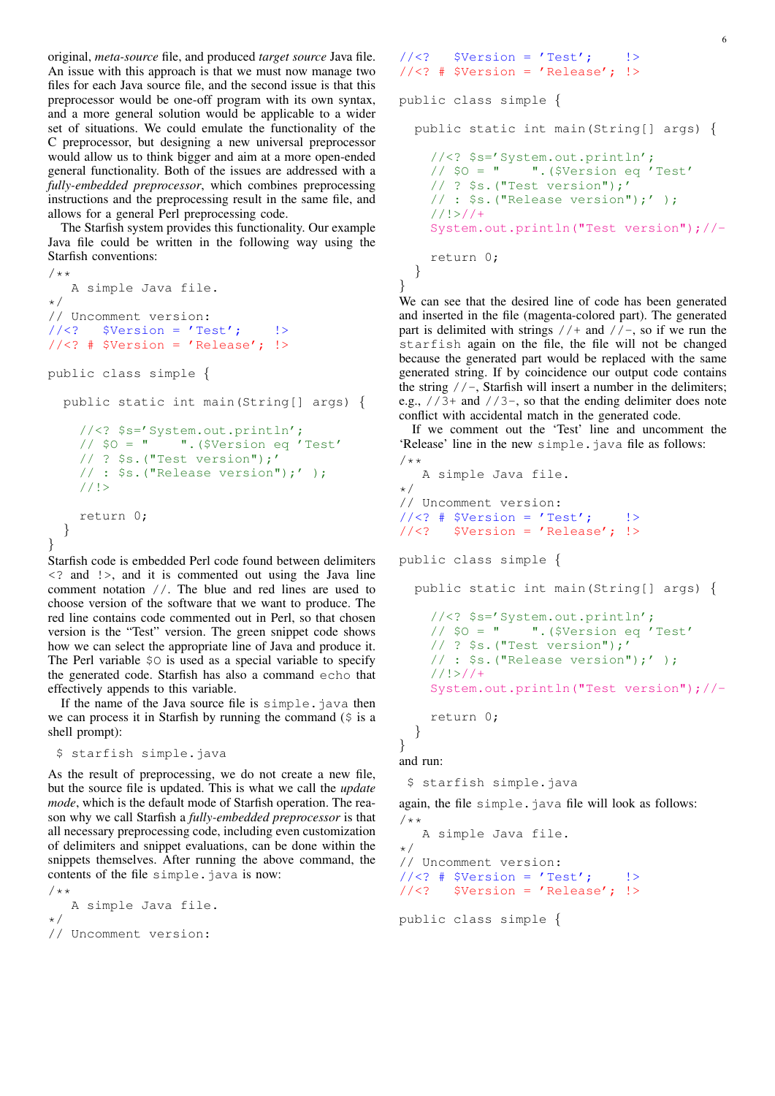original, *meta-source* file, and produced *target source* Java file. An issue with this approach is that we must now manage two files for each Java source file, and the second issue is that this preprocessor would be one-off program with its own syntax, and a more general solution would be applicable to a wider set of situations. We could emulate the functionality of the C preprocessor, but designing a new universal preprocessor would allow us to think bigger and aim at a more open-ended general functionality. Both of the issues are addressed with a *fully-embedded preprocessor*, which combines preprocessing instructions and the preprocessing result in the same file, and allows for a general Perl preprocessing code.

The Starfish system provides this functionality. Our example Java file could be written in the following way using the Starfish conventions:

```
/ * *A simple Java file.
*/
// Uncomment version:
//\langle? $Version = 'Test';    !>
//\leftarrow? # $Version = 'Release'; !>
public class simple {
  public static int main(String[] args) {
    //<? $s='System.out.println';
    // $O = " ".($Version eq 'Test'
    // ? $s.("Test version");'
    // : $s.("Release version");' );
    //!>
    return 0;
  }
}
```
Starfish code is embedded Perl code found between delimiters <? and !>, and it is commented out using the Java line comment notation //. The blue and red lines are used to choose version of the software that we want to produce. The red line contains code commented out in Perl, so that chosen version is the "Test" version. The green snippet code shows how we can select the appropriate line of Java and produce it. The Perl variable \$O is used as a special variable to specify the generated code. Starfish has also a command echo that effectively appends to this variable.

If the name of the Java source file is simple.java then we can process it in Starfish by running the command  $(\hat{S}$  is a shell prompt):

```
$ starfish simple.java
```
As the result of preprocessing, we do not create a new file, but the source file is updated. This is what we call the *update mode*, which is the default mode of Starfish operation. The reason why we call Starfish a *fully-embedded preprocessor* is that all necessary preprocessing code, including even customization of delimiters and snippet evaluations, can be done within the snippets themselves. After running the above command, the contents of the file simple.java is now:

```
/**
   A simple Java file.
*/
// Uncomment version:
```

```
//\langle? $Version = 'Test';
//<? # $Version = 'Release'; !>
```

```
public class simple {
```
public static int main(String[] args) { //<? \$s='System.out.println';

```
// $O = " ".($Version eq 'Test'
  // ? $s.("Test version");'
  // : $s.("Release version");' );
  //!System.out.println("Test version");//-
 return 0;
}
```
We can see that the desired line of code has been generated and inserted in the file (magenta-colored part). The generated part is delimited with strings  $//+$  and  $//-$ , so if we run the starfish again on the file, the file will not be changed because the generated part would be replaced with the same generated string. If by coincidence our output code contains the string  $//$ , Starfish will insert a number in the delimiters; e.g.,  $//3+$  and  $//3-$ , so that the ending delimiter does note conflict with accidental match in the generated code.

If we comment out the 'Test' line and uncomment the 'Release' line in the new simple.java file as follows: /\*\*

```
A simple Java file.
*/
// Uncomment version:
//<? # $Version = 'Test'; !>
//<? $Version = 'Release'; !>
```
public class simple {

```
public static int main(String[] args) {
  //<? $s='System.out.println';
  // $0 = " ". ($Version eq 'Test'
  // ? $s.("Test version");'
  // : $s.("Release version");' );
  //!>//+
  System.out.println("Test version");//-
```

```
return 0;
```

```
}
}
```
}

and run:

```
$ starfish simple.java
```
again, the file simple. java file will look as follows:  $/**$ 

```
A simple Java file.
*/
// Uncomment version:
//\langle ? # $Version = 'Test';    !>
//<? $Version = 'Release'; !>
public class simple {
```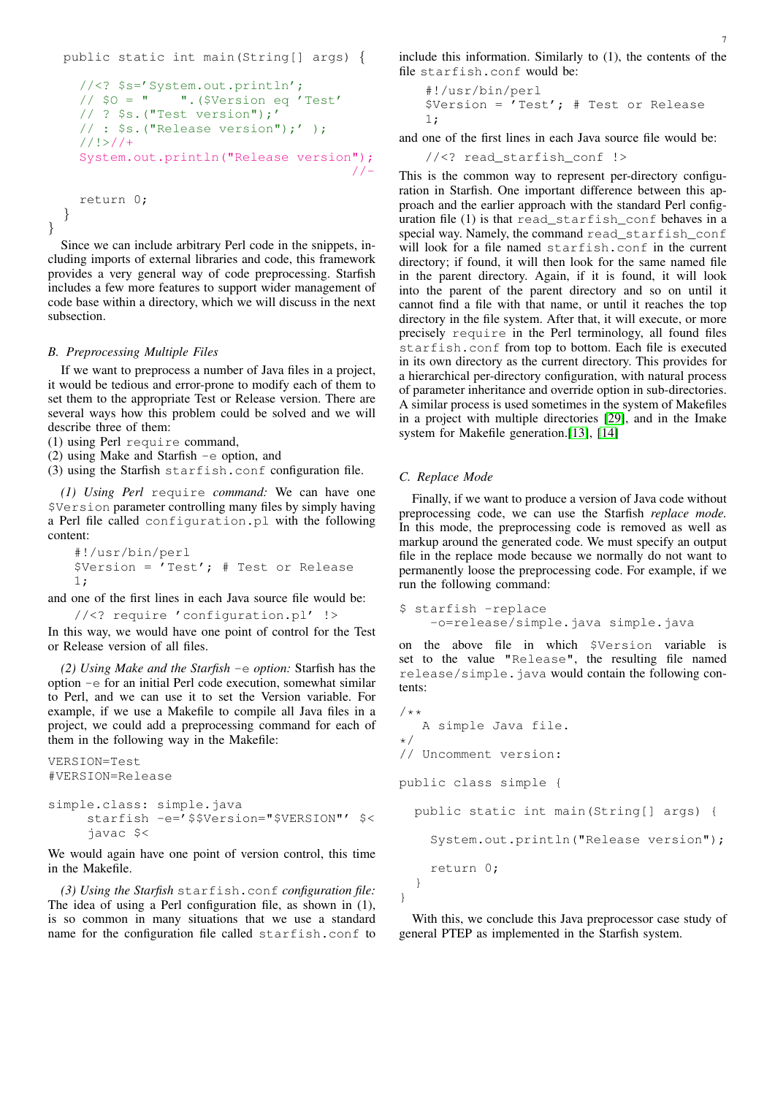```
public static int main(String[] args) {
  //<? $s='System.out.println';
  1/ $0 = \blacksquare \blacksquare. ($Version eq 'Test'
  // ? $s.("Test version");'
  // : $s.("Release version");' );
  1/1 > 1/1+System.out.println("Release version");
                                          //-
  return 0;
}
```
}

Since we can include arbitrary Perl code in the snippets, including imports of external libraries and code, this framework provides a very general way of code preprocessing. Starfish includes a few more features to support wider management of code base within a directory, which we will discuss in the next subsection.

# *B. Preprocessing Multiple Files*

If we want to preprocess a number of Java files in a project, it would be tedious and error-prone to modify each of them to set them to the appropriate Test or Release version. There are several ways how this problem could be solved and we will describe three of them:

(1) using Perl require command,

(2) using Make and Starfish -e option, and

(3) using the Starfish starfish.conf configuration file.

*(1) Using Perl* require *command:* We can have one \$Version parameter controlling many files by simply having a Perl file called configuration.pl with the following content:

```
#!/usr/bin/perl
$Version = 'Test'; # Test or Release1;
```
and one of the first lines in each Java source file would be:

```
//<? require 'configuration.pl' !>
```
In this way, we would have one point of control for the Test or Release version of all files.

*(2) Using Make and the Starfish* -e *option:* Starfish has the option -e for an initial Perl code execution, somewhat similar to Perl, and we can use it to set the Version variable. For example, if we use a Makefile to compile all Java files in a project, we could add a preprocessing command for each of them in the following way in the Makefile:

```
VERSION=Test
#VERSION=Release
simple.class: simple.java
     starfish -e='$$Version="$VERSION"' $<
     javac $<
```
We would again have one point of version control, this time in the Makefile.

*(3) Using the Starfish* starfish.conf *configuration file:* The idea of using a Perl configuration file, as shown in (1), is so common in many situations that we use a standard name for the configuration file called starfish.conf to include this information. Similarly to (1), the contents of the file starfish.conf would be:

```
#!/usr/bin/perl
$Version = 'Test'; # Test or Release
1;
```
and one of the first lines in each Java source file would be:

//<? read\_starfish\_conf !>

This is the common way to represent per-directory configuration in Starfish. One important difference between this approach and the earlier approach with the standard Perl configuration file (1) is that read\_starfish\_conf behaves in a special way. Namely, the command read starfish conf will look for a file named starfish.conf in the current directory; if found, it will then look for the same named file in the parent directory. Again, if it is found, it will look into the parent of the parent directory and so on until it cannot find a file with that name, or until it reaches the top directory in the file system. After that, it will execute, or more precisely require in the Perl terminology, all found files starfish.conf from top to bottom. Each file is executed in its own directory as the current directory. This provides for a hierarchical per-directory configuration, with natural process of parameter inheritance and override option in sub-directories. A similar process is used sometimes in the system of Makefiles in a project with multiple directories [\[29\]](#page-7-29), and in the Imake system for Makefile generation.[\[13\]](#page-7-10), [\[14\]](#page-7-11)

# *C. Replace Mode*

Finally, if we want to produce a version of Java code without preprocessing code, we can use the Starfish *replace mode.* In this mode, the preprocessing code is removed as well as markup around the generated code. We must specify an output file in the replace mode because we normally do not want to permanently loose the preprocessing code. For example, if we run the following command:

```
$ starfish -replace
   -o=release/simple.java simple.java
```
on the above file in which \$Version variable is set to the value "Release", the resulting file named release/simple.java would contain the following contents:

```
/*A simple Java file.
*/
// Uncomment version:
public class simple {
  public static int main(String[] args) {
    System.out.println("Release version");
    return 0;
  }
}
```
With this, we conclude this Java preprocessor case study of general PTEP as implemented in the Starfish system.